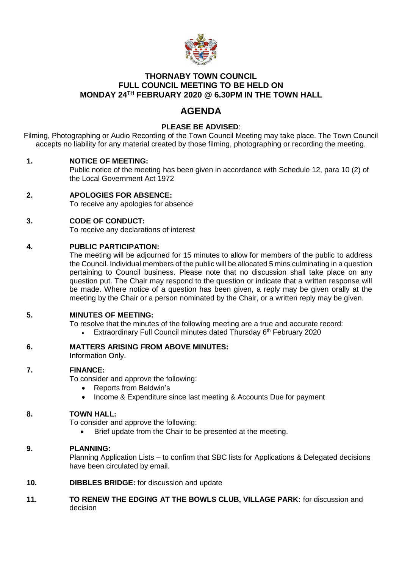

## **THORNABY TOWN COUNCIL FULL COUNCIL MEETING TO BE HELD ON MONDAY 24TH FEBRUARY 2020 @ 6.30PM IN THE TOWN HALL**

# **AGENDA**

## **PLEASE BE ADVISED**:

Filming, Photographing or Audio Recording of the Town Council Meeting may take place. The Town Council accepts no liability for any material created by those filming, photographing or recording the meeting.

#### **1. NOTICE OF MEETING:**

Public notice of the meeting has been given in accordance with Schedule 12, para 10 (2) of the Local Government Act 1972

- **2. APOLOGIES FOR ABSENCE:** To receive any apologies for absence
- **3. CODE OF CONDUCT:**

To receive any declarations of interest

#### **4. PUBLIC PARTICIPATION:**

The meeting will be adjourned for 15 minutes to allow for members of the public to address the Council. Individual members of the public will be allocated 5 mins culminating in a question pertaining to Council business. Please note that no discussion shall take place on any question put. The Chair may respond to the question or indicate that a written response will be made. Where notice of a question has been given, a reply may be given orally at the meeting by the Chair or a person nominated by the Chair, or a written reply may be given.

#### **5. MINUTES OF MEETING:**

To resolve that the minutes of the following meeting are a true and accurate record:

Extraordinary Full Council minutes dated Thursday 6<sup>th</sup> February 2020

#### **6. MATTERS ARISING FROM ABOVE MINUTES:**

Information Only.

#### **7. FINANCE:**

To consider and approve the following:

- Reports from Baldwin's
- Income & Expenditure since last meeting & Accounts Due for payment

#### **8. TOWN HALL:**

To consider and approve the following:

Brief update from the Chair to be presented at the meeting.

#### **9. PLANNING:**

Planning Application Lists – to confirm that SBC lists for Applications & Delegated decisions have been circulated by email.

- **10. DIBBLES BRIDGE:** for discussion and update
- **11. TO RENEW THE EDGING AT THE BOWLS CLUB, VILLAGE PARK:** for discussion and decision